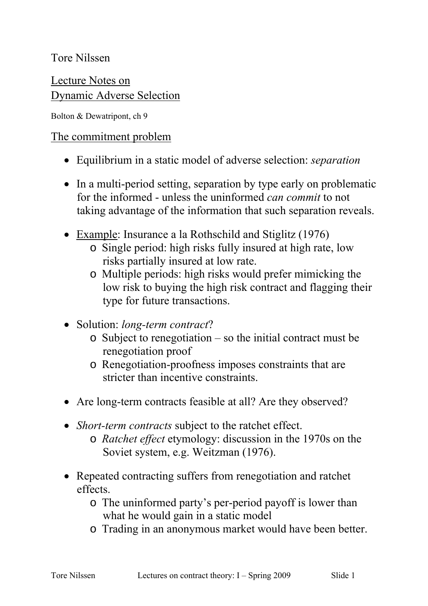Tore Nilssen

Lecture Notes on Dynamic Adverse Selection

Bolton & Dewatripont, ch 9

#### The commitment problem

- Equilibrium in a static model of adverse selection: *separation*
- In a multi-period setting, separation by type early on problematic for the informed - unless the uninformed *can commit* to not taking advantage of the information that such separation reveals.
- Example: Insurance a la Rothschild and Stiglitz (1976)
	- o Single period: high risks fully insured at high rate, low risks partially insured at low rate.
	- o Multiple periods: high risks would prefer mimicking the low risk to buying the high risk contract and flagging their type for future transactions.
- Solution: *long-term contract*?
	- o Subject to renegotiation so the initial contract must be renegotiation proof
	- o Renegotiation-proofness imposes constraints that are stricter than incentive constraints.
- Are long-term contracts feasible at all? Are they observed?
- *Short-term contracts* subject to the ratchet effect. o *Ratchet effect* etymology: discussion in the 1970s on the Soviet system, e.g. Weitzman (1976).
- Repeated contracting suffers from renegotiation and ratchet effects.
	- o The uninformed party's per-period payoff is lower than what he would gain in a static model
	- o Trading in an anonymous market would have been better.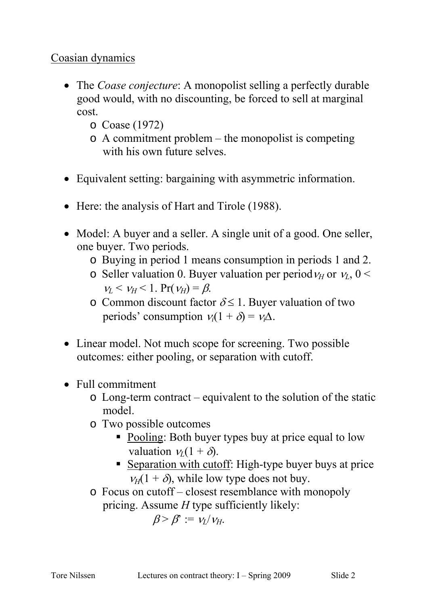# Coasian dynamics

- The *Coase conjecture*: A monopolist selling a perfectly durable good would, with no discounting, be forced to sell at marginal cost.
	- o Coase (1972)
	- o A commitment problem the monopolist is competing with his own future selves.
- Equivalent setting: bargaining with asymmetric information.
- Here: the analysis of Hart and Tirole (1988).
- Model: A buyer and a seller. A single unit of a good. One seller, one buyer. Two periods.
	- o Buying in period 1 means consumption in periods 1 and 2.
	- o Seller valuation 0. Buyer valuation per period  $v_H$  or  $v_L$ , 0 <  $v_L < v_H < 1$ . Pr( $v_H$ ) =  $\beta$ .
	- o Common discount factor  $\delta \leq 1$ . Buyer valuation of two periods' consumption  $v_i(1 + \delta) = v_i \Delta$ .
- Linear model. Not much scope for screening. Two possible outcomes: either pooling, or separation with cutoff.
- Full commitment
	- o Long-term contract equivalent to the solution of the static model.
	- o Two possible outcomes
		- Pooling: Both buyer types buy at price equal to low valuation  $v_L(1 + \delta)$ .
		- Separation with cutoff: High-type buyer buys at price  $v_H(1 + \delta)$ , while low type does not buy.
	- o Focus on cutoff closest resemblance with monopoly pricing. Assume *H* type sufficiently likely:

 $β > β' := v_I/v_H$ .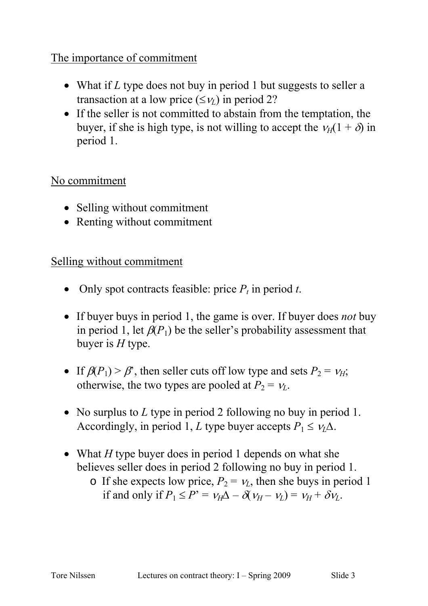# The importance of commitment

- What if *L* type does not buy in period 1 but suggests to seller a transaction at a low price  $(\leq v_L)$  in period 2?
- If the seller is not committed to abstain from the temptation, the buyer, if she is high type, is not willing to accept the  $v_H(1 + \delta)$  in period 1.

#### No commitment

- Selling without commitment
- Renting without commitment

# Selling without commitment

- Only spot contracts feasible: price  $P_t$  in period  $t$ .
- If buyer buys in period 1, the game is over. If buyer does *not* buy in period 1, let  $\beta(P_1)$  be the seller's probability assessment that buyer is *H* type.
- If  $\beta(P_1) > \beta'$ , then seller cuts off low type and sets  $P_2 = v_H$ ; otherwise, the two types are pooled at  $P_2 = v_L$ .
- No surplus to *L* type in period 2 following no buy in period 1. Accordingly, in period 1, *L* type buyer accepts  $P_1 \leq v_1 \Delta$ .
- What *H* type buyer does in period 1 depends on what she believes seller does in period 2 following no buy in period 1.
	- o If she expects low price,  $P_2 = v_L$ , then she buys in period 1 if and only if  $P_1 \le P' = v_H \Delta - \delta(v_H - v_L) = v_H + \delta v_L$ .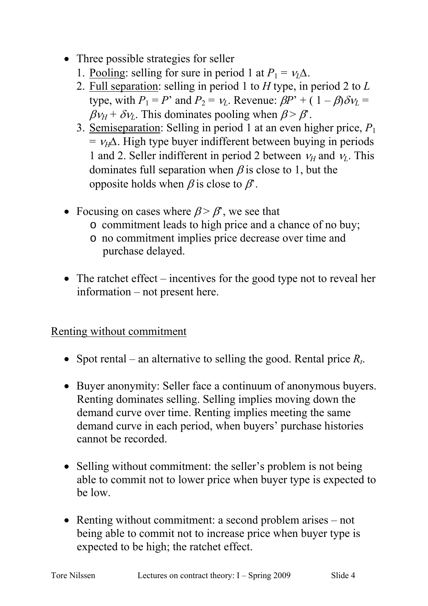- Three possible strategies for seller
	- 1. Pooling: selling for sure in period 1 at  $P_1 = v_1 \Delta$ .
	- 2. Full separation: selling in period 1 to *H* type, in period 2 to *L* type, with  $P_1 = P'$  and  $P_2 = v_L$ . Revenue:  $\beta P' + (1 - \beta)\delta v_L =$  $\beta v_H + \delta v_L$ . This dominates pooling when  $\beta > \beta'$ .
	- 3. Semiseparation: Selling in period 1 at an even higher price, *P*<sup>1</sup>  $= v_H\Delta$ . High type buyer indifferent between buying in periods 1 and 2. Seller indifferent in period 2 between  $v_H$  and  $v_L$ . This dominates full separation when  $\beta$  is close to 1, but the opposite holds when  $\beta$  is close to  $\beta$ .
- Focusing on cases where  $\beta > \beta'$ , we see that
	- o commitment leads to high price and a chance of no buy;
	- o no commitment implies price decrease over time and purchase delayed.
- The ratchet effect incentives for the good type not to reveal her information – not present here.

#### Renting without commitment

- Spot rental an alternative to selling the good. Rental price  $R_t$ .
- Buyer anonymity: Seller face a continuum of anonymous buyers. Renting dominates selling. Selling implies moving down the demand curve over time. Renting implies meeting the same demand curve in each period, when buyers' purchase histories cannot be recorded.
- Selling without commitment: the seller's problem is not being able to commit not to lower price when buyer type is expected to be low.
- Renting without commitment: a second problem arises not being able to commit not to increase price when buyer type is expected to be high; the ratchet effect.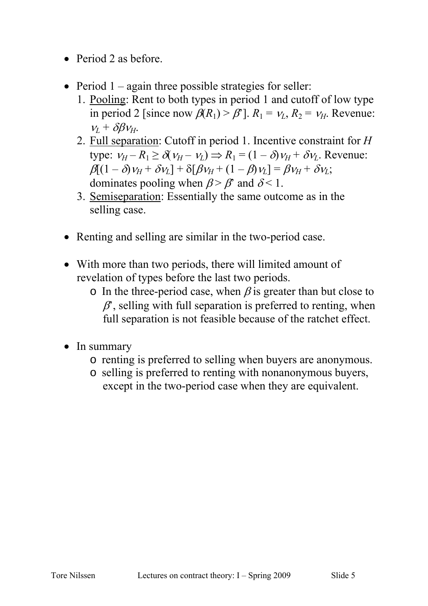- Period 2 as before.
- Period  $1 -$ again three possible strategies for seller:
	- 1. Pooling: Rent to both types in period 1 and cutoff of low type in period 2 [since now  $\beta(R_1) > \beta$ <sup>n</sup>].  $R_1 = v_L$ ,  $R_2 = v_H$ . Revenue:  $v_L + \delta \beta v_H$ .
	- 2. Full separation: Cutoff in period 1. Incentive constraint for *H* type:  $v_H - R_1 \ge \delta(v_H - v_L) \Rightarrow R_1 = (1 - \delta)v_H + \delta v_L$ . Revenue:  $\beta[(1-\delta)v_H + \delta v_L] + \delta[\beta v_H + (1-\beta)v_L] = \beta v_H + \delta v_L;$ dominates pooling when  $\beta > \beta'$  and  $\delta < 1$ .
	- 3. Semiseparation: Essentially the same outcome as in the selling case.
- Renting and selling are similar in the two-period case.
- With more than two periods, there will limited amount of revelation of types before the last two periods.
	- o In the three-period case, when  $\beta$  is greater than but close to  $\beta$ , selling with full separation is preferred to renting, when full separation is not feasible because of the ratchet effect.
- In summary
	- o renting is preferred to selling when buyers are anonymous.
	- o selling is preferred to renting with nonanonymous buyers, except in the two-period case when they are equivalent.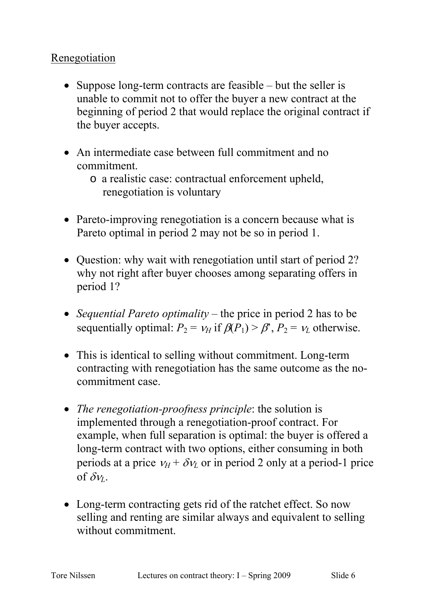# Renegotiation

- Suppose long-term contracts are feasible but the seller is unable to commit not to offer the buyer a new contract at the beginning of period 2 that would replace the original contract if the buyer accepts.
- An intermediate case between full commitment and no commitment.
	- o a realistic case: contractual enforcement upheld, renegotiation is voluntary
- Pareto-improving renegotiation is a concern because what is Pareto optimal in period 2 may not be so in period 1.
- Question: why wait with renegotiation until start of period 2? why not right after buyer chooses among separating offers in period 1?
- *Sequential Pareto optimality* the price in period 2 has to be sequentially optimal:  $P_2 = v_H$  if  $\beta(P_1) > \beta$ ,  $P_2 = v_L$  otherwise.
- This is identical to selling without commitment. Long-term contracting with renegotiation has the same outcome as the nocommitment case.
- *The renegotiation-proofness principle*: the solution is implemented through a renegotiation-proof contract. For example, when full separation is optimal: the buyer is offered a long-term contract with two options, either consuming in both periods at a price  $v_H + \delta v_L$  or in period 2 only at a period-1 price of  $\delta v_L$ .
- Long-term contracting gets rid of the ratchet effect. So now selling and renting are similar always and equivalent to selling without commitment.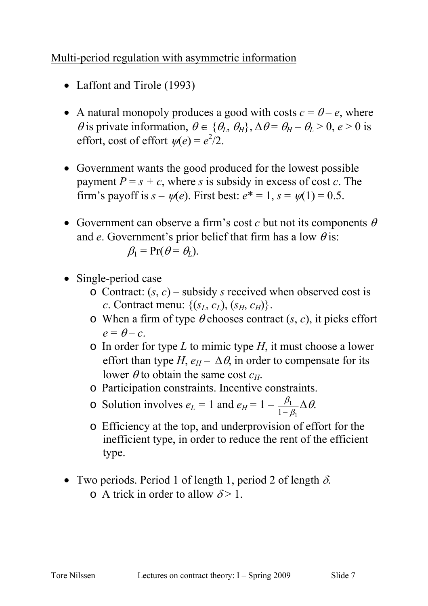# Multi-period regulation with asymmetric information

- Laffont and Tirole (1993)
- A natural monopoly produces a good with costs  $c = \theta e$ , where  $\theta$  is private information,  $\theta \in {\theta_L, \theta_H}$ ,  $\Delta \theta = \theta_H - \theta_L > 0$ ,  $e > 0$  is effort, cost of effort  $\psi(e) = e^2/2$ .
- Government wants the good produced for the lowest possible payment  $P = s + c$ , where *s* is subsidy in excess of cost *c*. The firm's payoff is  $s - \psi(e)$ . First best:  $e^* = 1$ ,  $s = \psi(1) = 0.5$ .
- Government can observe a firm's cost  $c$  but not its components  $\theta$ and *e*. Government's prior belief that firm has a low  $\theta$  is:

$$
\beta_1 = \Pr(\theta = \theta_L).
$$

- Single-period case
	- $\circ$  Contract:  $(s, c)$  subsidy *s* received when observed cost is *c*. Contract menu:  $\{(s_L, c_L), (s_H, c_H)\}.$
	- o When a firm of type  $\theta$  chooses contract  $(s, c)$ , it picks effort  $e = \theta - c$ .
	- o In order for type *L* to mimic type *H*, it must choose a lower effort than type *H*,  $e_H - \Delta \theta$ , in order to compensate for its lower  $\theta$  to obtain the same cost  $c_H$ .
	- o Participation constraints. Incentive constraints.
	- $\circ$  Solution involves  $e_L = 1$  and  $e_H = 1 -$ 1 1  $1-\beta_1$  $\frac{\beta_1}{-\beta_1}\Delta\theta.$
	- o Efficiency at the top, and underprovision of effort for the inefficient type, in order to reduce the rent of the efficient type.
- Two periods. Period 1 of length 1, period 2 of length  $\delta$ . o A trick in order to allow  $\delta$  > 1.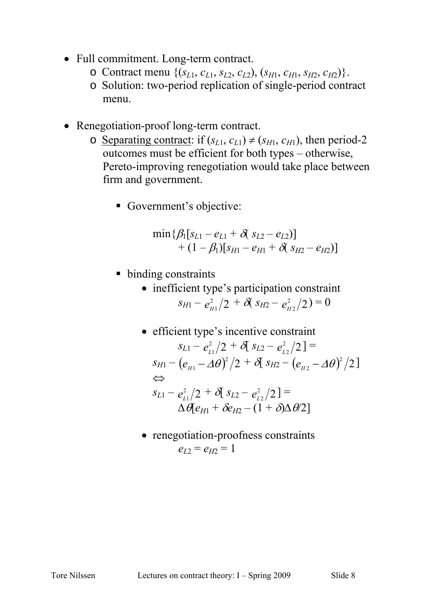- Full commitment. Long-term contract.
	- $\circ$  Contract menu  $\{(s_{L1}, c_{L1}, s_{L2}, c_{L2}), (s_{H1}, c_{H1}, s_{H2}, c_{H2})\}.$
	- o Solution: two-period replication of single-period contract menu.
- Renegotiation-proof long-term contract.
	- o <u>Separating contract</u>: if  $(s_{L1}, c_{L1}) \neq (s_{H1}, c_{H1})$ , then period-2 outcomes must be efficient for both types – otherwise, Pereto-improving renegotiation would take place between firm and government.
		- Government's objective:

$$
\min\{\beta_1[s_{L1}-e_{L1}+\delta(s_{L2}-e_{L2})]\n+(1-\beta_1)[s_{H1}-e_{H1}+\delta(s_{H2}-e_{H2})]
$$

- binding constraints
	- inefficient type's participation constraint  $s_{H1} - e_{H1}^2/2 + \delta(s_{H2} - e_{H2}^2/2) = 0$
	- efficient type's incentive constraint  $s_{L1} - e_{L1}^2/2 + \delta[s_{L2} - e_{L2}^2/2] =$  $s_{H1} - (e_{H1} - \Delta\theta)^2/2 + \delta[s_{H2} - (e_{H2} - \Delta\theta)^2/2]$ ⇔  $s_{L1} - e_{L1}^2/2 + \delta[s_{L2} - e_{L2}^2/2] =$  $\Delta \theta$ [*eH*<sub>1</sub> +  $\delta e$ <sub>H</sub><sub>2</sub> − (1 +  $\delta$ ) $\Delta \theta$ <sup>2</sup>]
	- renegotiation-proofness constraints  $e_{I2} = e_{H2} = 1$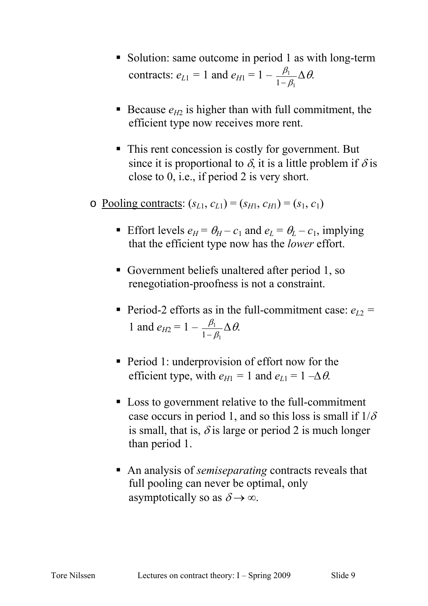- Solution: same outcome in period 1 as with long-term contracts:  $e_{L1} = 1$  and  $e_{H1} = 1$  – 1 1  $1-\beta$  $\frac{\beta_1}{-\beta_1}\Delta\theta.$
- Because  $e_{H2}$  is higher than with full commitment, the efficient type now receives more rent.
- This rent concession is costly for government. But since it is proportional to  $\delta$ , it is a little problem if  $\delta$  is close to 0, i.e., if period 2 is very short.
- $\circ$  <u>Pooling contracts</u>:  $(s_{L1}, c_{L1}) = (s_{H1}, c_{H1}) = (s_1, c_1)$ 
	- Effort levels  $e_H = \theta_H c_1$  and  $e_L = \theta_L c_1$ , implying that the efficient type now has the *lower* effort.
	- Government beliefs unaltered after period 1, so renegotiation-proofness is not a constraint.
	- Period-2 efforts as in the full-commitment case:  $e_{L2}$  = 1 and  $e_{H2} = 1 -$ 1 1  $1-\beta$  $\frac{\beta_1}{-\beta_1}\Delta\theta.$
	- **Period 1: underprovision of effort now for the** efficient type, with  $e_{H1} = 1$  and  $e_{L1} = 1 - \Delta \theta$ .
	- Loss to government relative to the full-commitment case occurs in period 1, and so this loss is small if  $1/\delta$ is small, that is,  $\delta$  is large or period 2 is much longer than period 1.
	- An analysis of *semiseparating* contracts reveals that full pooling can never be optimal, only asymptotically so as  $\delta \rightarrow \infty$ .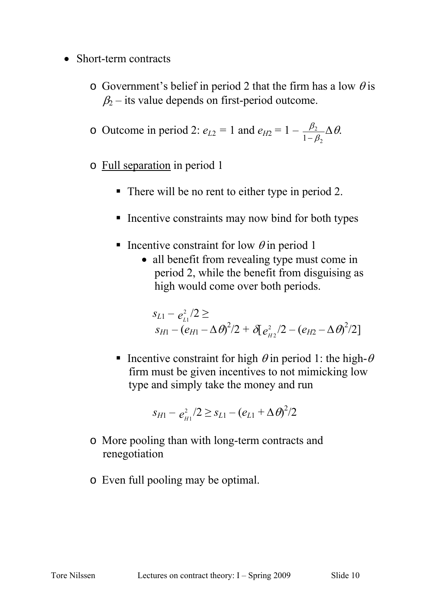- Short-term contracts
	- o Government's belief in period 2 that the firm has a low  $\theta$  is  $\beta_2$  – its value depends on first-period outcome.

o Outcome in period 2: 
$$
e_{L2} = 1
$$
 and  $e_{H2} = 1 - \frac{\beta_2}{1 - \beta_2} \Delta \theta$ .

- o Full separation in period 1
	- There will be no rent to either type in period 2.
	- **Incentive constraints may now bind for both types**
	- Incentive constraint for low  $\theta$  in period 1
		- all benefit from revealing type must come in period 2, while the benefit from disguising as high would come over both periods.

$$
s_{L1} - e_{L1}^2/2 \ge s_{H1} - (e_{H1} - \Delta \theta)^2/2 + \delta [e_{H2}^2/2 - (e_{H2} - \Delta \theta)^2/2]
$$

Incentive constraint for high  $\theta$  in period 1: the high- $\theta$ firm must be given incentives to not mimicking low type and simply take the money and run

$$
s_{H1}-e_{H1}^2/2\geq s_{L1}-(e_{L1}+\Delta\theta)^2/2
$$

- o More pooling than with long-term contracts and renegotiation
- o Even full pooling may be optimal.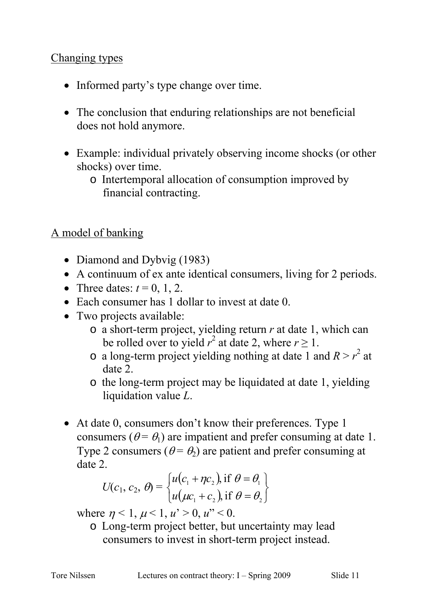#### Changing types

- Informed party's type change over time.
- The conclusion that enduring relationships are not beneficial does not hold anymore.
- Example: individual privately observing income shocks (or other shocks) over time.
	- o Intertemporal allocation of consumption improved by financial contracting.

# A model of banking

- Diamond and Dybvig (1983)
- A continuum of ex ante identical consumers, living for 2 periods.
- Three dates:  $t = 0, 1, 2$ .
- Each consumer has 1 dollar to invest at date 0.
- Two projects available:
	- o a short-term project, yielding return *r* at date 1, which can be rolled over to yield  $r^2$  at date 2, where  $r \ge 1$ .
	- $\circ$  a long-term project yielding nothing at date 1 and  $R > r^2$  at date 2.
	- o the long-term project may be liquidated at date 1, yielding liquidation value *L*.
- At date 0, consumers don't know their preferences. Type 1 consumers ( $\theta = \theta_1$ ) are impatient and prefer consuming at date 1. Type 2 consumers ( $\theta = \theta_2$ ) are patient and prefer consuming at date 2.

$$
U(c_1, c_2, \theta) = \begin{cases} u(c_1 + \eta c_2), \text{if } \theta = \theta_1 \\ u(\mu c_1 + c_2), \text{if } \theta = \theta_2 \end{cases}
$$

where  $\eta$  < 1,  $\mu$  < 1,  $u'$  > 0,  $u''$  < 0.

o Long-term project better, but uncertainty may lead consumers to invest in short-term project instead.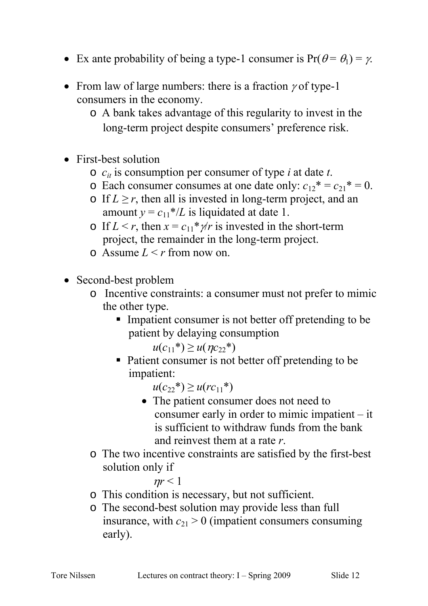- Ex ante probability of being a type-1 consumer is  $Pr(\theta = \theta_1) = \gamma$ .
- From law of large numbers: there is a fraction  $\gamma$  of type-1 consumers in the economy.
	- o A bank takes advantage of this regularity to invest in the long-term project despite consumers' preference risk.
- First-best solution
	- o *cit* is consumption per consumer of type *i* at date *t*.
	- $\circ$  Each consumer consumes at one date only:  $c_{12}^* = c_{21}^* = 0$ .
	- $\circ$  If *L* ≥ *r*, then all is invested in long-term project, and an amount  $y = c_{11}$ <sup>\*</sup>/*L* is liquidated at date 1.
	- o If  $L < r$ , then  $x = c_{11} * \gamma/r$  is invested in the short-term project, the remainder in the long-term project.
	- $\Omega$  Assume  $L \le r$  from now on.
- Second-best problem
	- o Incentive constraints: a consumer must not prefer to mimic the other type.
		- Impatient consumer is not better off pretending to be patient by delaying consumption

 $u(c_{11}^*) \geq u(\eta c_{22}^*)$ 

• Patient consumer is not better off pretending to be impatient:

 $u(c_{22}^*) \geq u(rc_{11}^*)$ 

- The patient consumer does not need to consumer early in order to mimic impatient – it is sufficient to withdraw funds from the bank and reinvest them at a rate *r*.
- o The two incentive constraints are satisfied by the first-best solution only if

 $\eta r < 1$ 

- o This condition is necessary, but not sufficient.
- o The second-best solution may provide less than full insurance, with  $c_{21} > 0$  (impatient consumers consuming early).